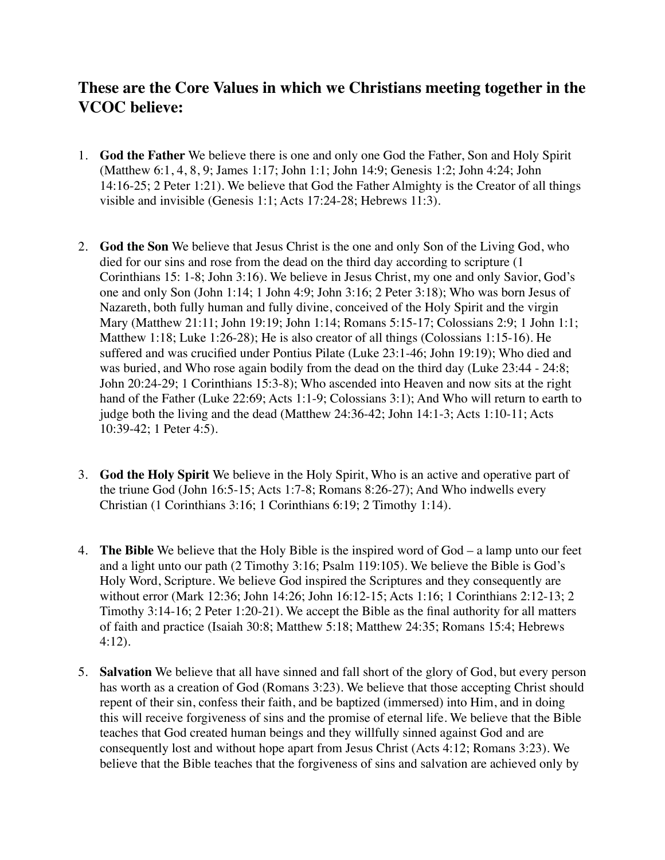## **These are the Core Values in which we Christians meeting together in the VCOC believe:**

- 1. **God the Father** We believe there is one and only one God the Father, Son and Holy Spirit (Matthew 6:1, 4, 8, 9; James 1:17; John 1:1; John 14:9; Genesis 1:2; John 4:24; John 14:16-25; 2 Peter 1:21). We believe that God the Father Almighty is the Creator of all things visible and invisible (Genesis 1:1; Acts 17:24-28; Hebrews 11:3).
- 2. **God the Son** We believe that Jesus Christ is the one and only Son of the Living God, who died for our sins and rose from the dead on the third day according to scripture (1 Corinthians 15: 1-8; John 3:16). We believe in Jesus Christ, my one and only Savior, God's one and only Son (John 1:14; 1 John 4:9; John 3:16; 2 Peter 3:18); Who was born Jesus of Nazareth, both fully human and fully divine, conceived of the Holy Spirit and the virgin Mary (Matthew 21:11; John 19:19; John 1:14; Romans 5:15-17; Colossians 2:9; 1 John 1:1; Matthew 1:18; Luke 1:26-28); He is also creator of all things (Colossians 1:15-16). He suffered and was crucified under Pontius Pilate (Luke 23:1-46; John 19:19); Who died and was buried, and Who rose again bodily from the dead on the third day (Luke 23:44 - 24:8; John 20:24-29; 1 Corinthians 15:3-8); Who ascended into Heaven and now sits at the right hand of the Father (Luke 22:69; Acts 1:1-9; Colossians 3:1); And Who will return to earth to judge both the living and the dead (Matthew 24:36-42; John 14:1-3; Acts 1:10-11; Acts 10:39-42; 1 Peter 4:5).
- 3. **God the Holy Spirit** We believe in the Holy Spirit, Who is an active and operative part of the triune God (John 16:5-15; Acts 1:7-8; Romans 8:26-27); And Who indwells every Christian (1 Corinthians 3:16; 1 Corinthians 6:19; 2 Timothy 1:14).
- 4. **The Bible** We believe that the Holy Bible is the inspired word of God a lamp unto our feet and a light unto our path (2 Timothy 3:16; Psalm 119:105). We believe the Bible is God's Holy Word, Scripture. We believe God inspired the Scriptures and they consequently are without error (Mark 12:36; John 14:26; John 16:12-15; Acts 1:16; 1 Corinthians 2:12-13; 2 Timothy 3:14-16; 2 Peter 1:20-21). We accept the Bible as the final authority for all matters of faith and practice (Isaiah 30:8; Matthew 5:18; Matthew 24:35; Romans 15:4; Hebrews 4:12).
- 5. **Salvation** We believe that all have sinned and fall short of the glory of God, but every person has worth as a creation of God (Romans 3:23). We believe that those accepting Christ should repent of their sin, confess their faith, and be baptized (immersed) into Him, and in doing this will receive forgiveness of sins and the promise of eternal life. We believe that the Bible teaches that God created human beings and they willfully sinned against God and are consequently lost and without hope apart from Jesus Christ (Acts 4:12; Romans 3:23). We believe that the Bible teaches that the forgiveness of sins and salvation are achieved only by